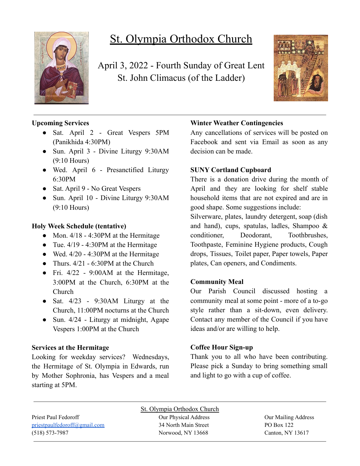

# St. Olympia Orthodox Church

April 3, 2022 - Fourth Sunday of Great Lent St. John Climacus (of the Ladder)



# **Upcoming Services**

- Sat. April 2 Great Vespers 5PM (Panikhida 4:30PM)
- Sun. April 3 Divine Liturgy 9:30AM (9:10 Hours)
- Wed. April 6 Presanctified Liturgy 6:30PM
- Sat. April 9 No Great Vespers
- Sun. April 10 Divine Liturgy 9:30AM (9:10 Hours)

## **Holy Week Schedule (tentative)**

- Mon.  $4/18 4:30$ PM at the Hermitage
- Tue.  $4/19 4:30$ PM at the Hermitage
- Wed.  $4/20 4:30$ PM at the Hermitage
- Thurs.  $4/21 6:30$ PM at the Church
- Fri. 4/22 9:00AM at the Hermitage, 3:00PM at the Church, 6:30PM at the Church
- Sat.  $4/23$  9:30AM Liturgy at the Church, 11:00PM nocturns at the Church
- Sun. 4/24 Liturgy at midnight, Agape Vespers 1:00PM at the Church

#### **Services at the Hermitage**

Looking for weekday services? Wednesdays, the Hermitage of St. Olympia in Edwards, run by Mother Sophronia, has Vespers and a meal starting at 5PM.

# **Winter Weather Contingencies**

Any cancellations of services will be posted on Facebook and sent via Email as soon as any decision can be made.

## **SUNY Cortland Cupboard**

There is a donation drive during the month of April and they are looking for shelf stable household items that are not expired and are in good shape. Some suggestions include:

Silverware, plates, laundry detergent, soap (dish and hand), cups, spatulas, ladles, Shampoo & conditioner, Deodorant, Toothbrushes, Toothpaste, Feminine Hygiene products, Cough drops, Tissues, Toilet paper, Paper towels, Paper plates, Can openers, and Condiments.

#### **Community Meal**

Our Parish Council discussed hosting a community meal at some point - more of a to-go style rather than a sit-down, even delivery. Contact any member of the Council if you have ideas and/or are willing to help.

# **Coffee Hour Sign-up**

Thank you to all who have been contributing. Please pick a Sunday to bring something small and light to go with a cup of coffee.

Priest Paul Fedoroff Our Physical Address Our Mailing Address [priestpaulfedoroff@gmail.com](mailto:priestpaulfedoroff@gmail.com) 34 North Main Street PO Box 122 (518) 573-7987 Norwood, NY 13668 Canton, NY 13617

St. Olympia Orthodox Church